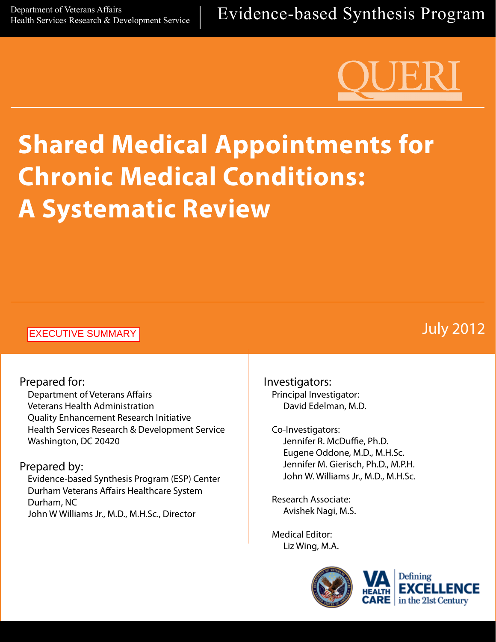

# **Shared Medical Appointments for Chronic Medical Conditions: A Systematic Review**

#### EXECUTIVE SUMMARY

# July 2012

#### Prepared for:

Department of Veterans Affairs Veterans Health Administration Quality Enhancement Research Initiative Health Services Research & Development Service Washington, DC 20420

#### Prepared by:

Evidence-based Synthesis Program (ESP) Center Durham Veterans Affairs Healthcare System Durham, NC John W Williams Jr., M.D., M.H.Sc., Director

Investigators: Principal Investigator: David Edelman, M.D.

Co-Investigators: Jennifer R. McDuffie, Ph.D. Eugene Oddone, M.D., M.H.Sc. Jennifer M. Gierisch, Ph.D., M.P.H. John W. Williams Jr., M.D., M.H.Sc.

Research Associate: Avishek Nagi, M.S.

Medical Editor: Liz Wing, M.A.



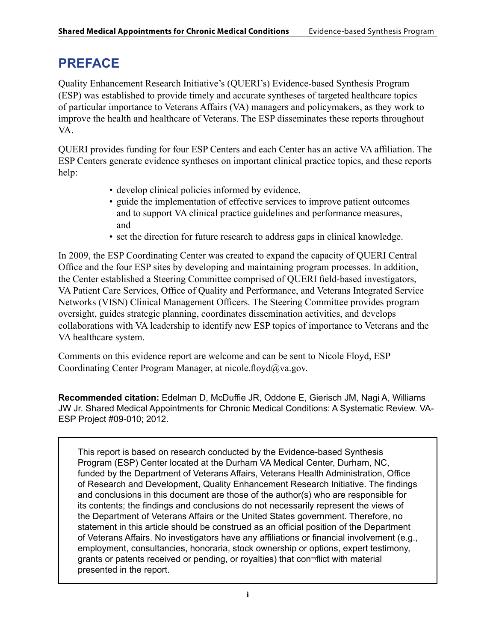## **PREFACE**

Quality Enhancement Research Initiative's (QUERI's) Evidence-based Synthesis Program (ESP) was established to provide timely and accurate syntheses of targeted healthcare topics of particular importance to Veterans Affairs (VA) managers and policymakers, as they work to improve the health and healthcare of Veterans. The ESP disseminates these reports throughout VA.

QUERI provides funding for four ESP Centers and each Center has an active VA affiliation. The ESP Centers generate evidence syntheses on important clinical practice topics, and these reports help:

- develop clinical policies informed by evidence,
- guide the implementation of effective services to improve patient outcomes and to support VA clinical practice guidelines and performance measures, and
- set the direction for future research to address gaps in clinical knowledge.

In 2009, the ESP Coordinating Center was created to expand the capacity of QUERI Central Office and the four ESP sites by developing and maintaining program processes. In addition, the Center established a Steering Committee comprised of QUERI field-based investigators, VA Patient Care Services, Office of Quality and Performance, and Veterans Integrated Service Networks (VISN) Clinical Management Officers. The Steering Committee provides program oversight, guides strategic planning, coordinates dissemination activities, and develops collaborations with VA leadership to identify new ESP topics of importance to Veterans and the VA healthcare system.

Comments on this evidence report are welcome and can be sent to Nicole Floyd, ESP Coordinating Center Program Manager, at nicole.floyd $@$ va.gov.

**Recommended citation:** Edelman D, McDuffie JR, Oddone E, Gierisch JM, Nagi A, Williams JW Jr. Shared Medical Appointments for Chronic Medical Conditions: A Systematic Review. VA-ESP Project #09-010; 2012.

This report is based on research conducted by the Evidence-based Synthesis Program (ESP) Center located at the Durham VA Medical Center, Durham, NC, funded by the Department of Veterans Affairs, Veterans Health Administration, Office of Research and Development, Quality Enhancement Research Initiative. The findings and conclusions in this document are those of the author(s) who are responsible for its contents; the findings and conclusions do not necessarily represent the views of the Department of Veterans Affairs or the United States government. Therefore, no statement in this article should be construed as an official position of the Department of Veterans Affairs. No investigators have any affiliations or financial involvement (e.g., employment, consultancies, honoraria, stock ownership or options, expert testimony, grants or patents received or pending, or royalties) that con¬flict with material presented in the report.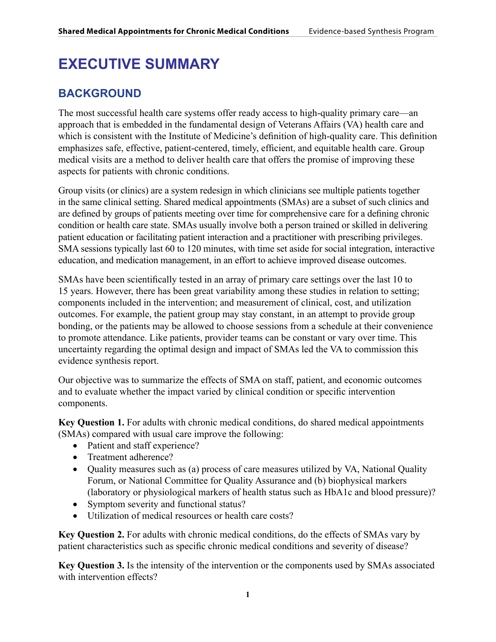## **EXECUTIVE SUMMARY**

## **BACKGROUND**

The most successful health care systems offer ready access to high-quality primary care—an approach that is embedded in the fundamental design of Veterans Affairs (VA) health care and which is consistent with the Institute of Medicine's definition of high-quality care. This definition emphasizes safe, effective, patient-centered, timely, efficient, and equitable health care. Group medical visits are a method to deliver health care that offers the promise of improving these aspects for patients with chronic conditions.

Group visits (or clinics) are a system redesign in which clinicians see multiple patients together in the same clinical setting. Shared medical appointments (SMAs) are a subset of such clinics and are defined by groups of patients meeting over time for comprehensive care for a defining chronic condition or health care state. SMAs usually involve both a person trained or skilled in delivering patient education or facilitating patient interaction and a practitioner with prescribing privileges. SMA sessions typically last 60 to 120 minutes, with time set aside for social integration, interactive education, and medication management, in an effort to achieve improved disease outcomes.

SMAs have been scientifically tested in an array of primary care settings over the last 10 to 15 years. However, there has been great variability among these studies in relation to setting; components included in the intervention; and measurement of clinical, cost, and utilization outcomes. For example, the patient group may stay constant, in an attempt to provide group bonding, or the patients may be allowed to choose sessions from a schedule at their convenience to promote attendance. Like patients, provider teams can be constant or vary over time. This uncertainty regarding the optimal design and impact of SMAs led the VA to commission this evidence synthesis report.

Our objective was to summarize the effects of SMA on staff, patient, and economic outcomes and to evaluate whether the impact varied by clinical condition or specific intervention components.

**Key Question 1.** For adults with chronic medical conditions, do shared medical appointments (SMAs) compared with usual care improve the following:

- Patient and staff experience?
- Treatment adherence?
- Quality measures such as (a) process of care measures utilized by VA, National Quality Forum, or National Committee for Quality Assurance and (b) biophysical markers (laboratory or physiological markers of health status such as HbA1c and blood pressure)?
- Symptom severity and functional status?
- Utilization of medical resources or health care costs?

**Key Question 2.** For adults with chronic medical conditions, do the effects of SMAs vary by patient characteristics such as specific chronic medical conditions and severity of disease?

**Key Question 3.** Is the intensity of the intervention or the components used by SMAs associated with intervention effects?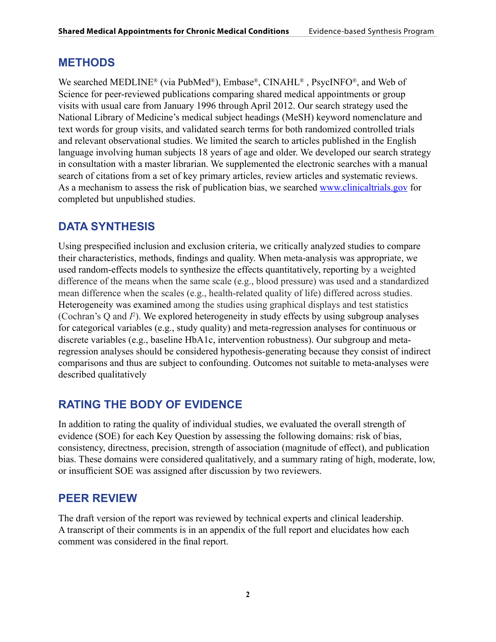#### **METHODS**

We searched MEDLINE<sup>®</sup> (via PubMed<sup>®</sup>), Embase<sup>®</sup>, CINAHL<sup>®</sup>, PsycINFO<sup>®</sup>, and Web of Science for peer-reviewed publications comparing shared medical appointments or group visits with usual care from January 1996 through April 2012. Our search strategy used the National Library of Medicine's medical subject headings (MeSH) keyword nomenclature and text words for group visits, and validated search terms for both randomized controlled trials and relevant observational studies. We limited the search to articles published in the English language involving human subjects 18 years of age and older. We developed our search strategy in consultation with a master librarian. We supplemented the electronic searches with a manual search of citations from a set of key primary articles, review articles and systematic reviews. As a mechanism to assess the risk of publication bias, we searched www.clinicaltrials.gov for completed but unpublished studies.

## **DATA SYNTHESIS**

Using prespecified inclusion and exclusion criteria, we critically analyzed studies to compare their characteristics, methods, findings and quality. When meta-analysis was appropriate, we used random-effects models to synthesize the effects quantitatively, reporting by a weighted difference of the means when the same scale (e.g., blood pressure) was used and a standardized mean difference when the scales (e.g., health-related quality of life) differed across studies. Heterogeneity was examined among the studies using graphical displays and test statistics (Cochran's Q and *I*<sup>2</sup> ). We explored heterogeneity in study effects by using subgroup analyses for categorical variables (e.g., study quality) and meta-regression analyses for continuous or discrete variables (e.g., baseline HbA1c, intervention robustness). Our subgroup and metaregression analyses should be considered hypothesis-generating because they consist of indirect comparisons and thus are subject to confounding. Outcomes not suitable to meta-analyses were described qualitatively

## **RATING THE BODY OF EVIDENCE**

In addition to rating the quality of individual studies, we evaluated the overall strength of evidence (SOE) for each Key Question by assessing the following domains: risk of bias, consistency, directness, precision, strength of association (magnitude of effect), and publication bias. These domains were considered qualitatively, and a summary rating of high, moderate, low, or insufficient SOE was assigned after discussion by two reviewers.

## **PEER REVIEW**

The draft version of the report was reviewed by technical experts and clinical leadership. A transcript of their comments is in an appendix of the full report and elucidates how each comment was considered in the final report.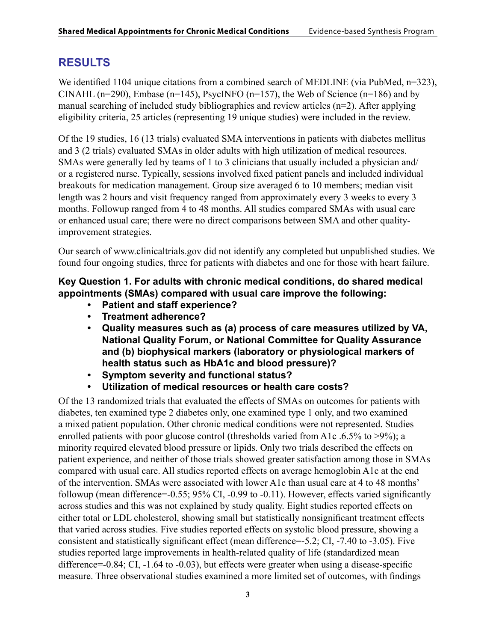## **RESULTS**

We identified 1104 unique citations from a combined search of MEDLINE (via PubMed, n=323), CINAHL ( $n=290$ ), Embase ( $n=145$ ), PsycINFO ( $n=157$ ), the Web of Science ( $n=186$ ) and by manual searching of included study bibliographies and review articles (n=2). After applying eligibility criteria, 25 articles (representing 19 unique studies) were included in the review.

Of the 19 studies, 16 (13 trials) evaluated SMA interventions in patients with diabetes mellitus and 3 (2 trials) evaluated SMAs in older adults with high utilization of medical resources. SMAs were generally led by teams of 1 to 3 clinicians that usually included a physician and/ or a registered nurse. Typically, sessions involved fixed patient panels and included individual breakouts for medication management. Group size averaged 6 to 10 members; median visit length was 2 hours and visit frequency ranged from approximately every 3 weeks to every 3 months. Followup ranged from 4 to 48 months. All studies compared SMAs with usual care or enhanced usual care; there were no direct comparisons between SMA and other qualityimprovement strategies.

Our search of www.clinicaltrials.gov did not identify any completed but unpublished studies. We found four ongoing studies, three for patients with diabetes and one for those with heart failure.

#### **Key Question 1. For adults with chronic medical conditions, do shared medical appointments (SMAs) compared with usual care improve the following:**

- **• Patient and staff experience?**
- **• Treatment adherence?**
- **• Quality measures such as (a) process of care measures utilized by VA, National Quality Forum, or National Committee for Quality Assurance and (b) biophysical markers (laboratory or physiological markers of health status such as HbA1c and blood pressure)?**
- **• Symptom severity and functional status?**
- **• Utilization of medical resources or health care costs?**

Of the 13 randomized trials that evaluated the effects of SMAs on outcomes for patients with diabetes, ten examined type 2 diabetes only, one examined type 1 only, and two examined a mixed patient population. Other chronic medical conditions were not represented. Studies enrolled patients with poor glucose control (thresholds varied from A1c .6.5% to >9%); a minority required elevated blood pressure or lipids. Only two trials described the effects on patient experience, and neither of those trials showed greater satisfaction among those in SMAs compared with usual care. All studies reported effects on average hemoglobin A1c at the end of the intervention. SMAs were associated with lower A1c than usual care at 4 to 48 months' followup (mean difference=-0.55; 95% CI, -0.99 to -0.11). However, effects varied significantly across studies and this was not explained by study quality. Eight studies reported effects on either total or LDL cholesterol, showing small but statistically nonsignificant treatment effects that varied across studies. Five studies reported effects on systolic blood pressure, showing a consistent and statistically significant effect (mean difference=-5.2; CI, -7.40 to -3.05). Five studies reported large improvements in health-related quality of life (standardized mean difference=-0.84; CI, -1.64 to -0.03), but effects were greater when using a disease-specific measure. Three observational studies examined a more limited set of outcomes, with findings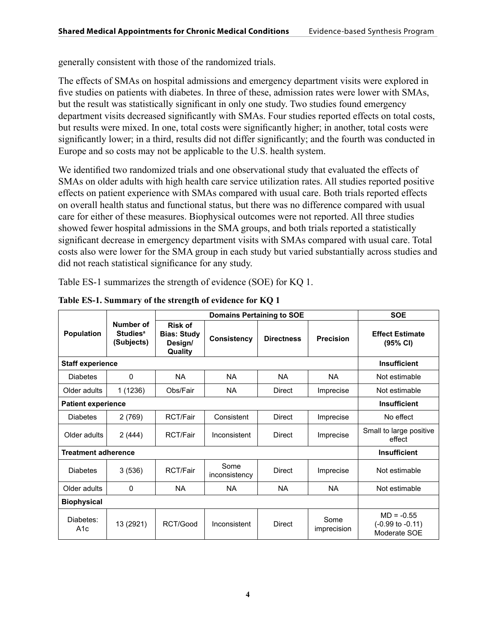generally consistent with those of the randomized trials.

The effects of SMAs on hospital admissions and emergency department visits were explored in five studies on patients with diabetes. In three of these, admission rates were lower with SMAs, but the result was statistically significant in only one study. Two studies found emergency department visits decreased significantly with SMAs. Four studies reported effects on total costs, but results were mixed. In one, total costs were significantly higher; in another, total costs were significantly lower; in a third, results did not differ significantly; and the fourth was conducted in Europe and so costs may not be applicable to the U.S. health system.

We identified two randomized trials and one observational study that evaluated the effects of SMAs on older adults with high health care service utilization rates. All studies reported positive effects on patient experience with SMAs compared with usual care. Both trials reported effects on overall health status and functional status, but there was no difference compared with usual care for either of these measures. Biophysical outcomes were not reported. All three studies showed fewer hospital admissions in the SMA groups, and both trials reported a statistically significant decrease in emergency department visits with SMAs compared with usual care. Total costs also were lower for the SMA group in each study but varied substantially across studies and did not reach statistical significance for any study.

Table ES-1 summarizes the strength of evidence (SOE) for KQ 1.

|                               |                                                       | <b>Domains Pertaining to SOE</b>                                  |                       |                   |                     | <b>SOE</b>                                                  |
|-------------------------------|-------------------------------------------------------|-------------------------------------------------------------------|-----------------------|-------------------|---------------------|-------------------------------------------------------------|
| <b>Population</b>             | Number of<br><b>Studies<sup>a</sup></b><br>(Subjects) | <b>Risk of</b><br><b>Bias: Study</b><br>Design/<br><b>Quality</b> | <b>Consistency</b>    | <b>Directness</b> | <b>Precision</b>    | <b>Effect Estimate</b><br>(95% CI)                          |
| <b>Staff experience</b>       |                                                       |                                                                   |                       |                   | <b>Insufficient</b> |                                                             |
| <b>Diabetes</b>               | $\Omega$                                              | <b>NA</b>                                                         | <b>NA</b>             | NA                | <b>NA</b>           | Not estimable                                               |
| Older adults                  | 1(1236)                                               | Obs/Fair                                                          | <b>NA</b>             | <b>Direct</b>     | Imprecise           | Not estimable                                               |
| <b>Patient experience</b>     |                                                       |                                                                   |                       |                   | <b>Insufficient</b> |                                                             |
| <b>Diabetes</b>               | 2 (769)                                               | <b>RCT/Fair</b>                                                   | Consistent            | <b>Direct</b>     | Imprecise           | No effect                                                   |
| Older adults                  | 2(444)                                                | <b>RCT/Fair</b>                                                   | Inconsistent          | <b>Direct</b>     | Imprecise           | Small to large positive<br>effect                           |
| <b>Treatment adherence</b>    |                                                       |                                                                   |                       |                   | <b>Insufficient</b> |                                                             |
| <b>Diabetes</b>               | 3(536)                                                | <b>RCT/Fair</b>                                                   | Some<br>inconsistency | Direct            | Imprecise           | Not estimable                                               |
| Older adults                  | 0                                                     | NA.                                                               | <b>NA</b>             | NA.               | <b>NA</b>           | Not estimable                                               |
| <b>Biophysical</b>            |                                                       |                                                                   |                       |                   |                     |                                                             |
| Diabetes:<br>A <sub>1</sub> c | 13 (2921)                                             | RCT/Good                                                          | Inconsistent          | Direct            | Some<br>imprecision | $MD = -0.55$<br>$(-0.99 \text{ to } -0.11)$<br>Moderate SOE |

**Table ES-1. Summary of the strength of evidence for KQ 1**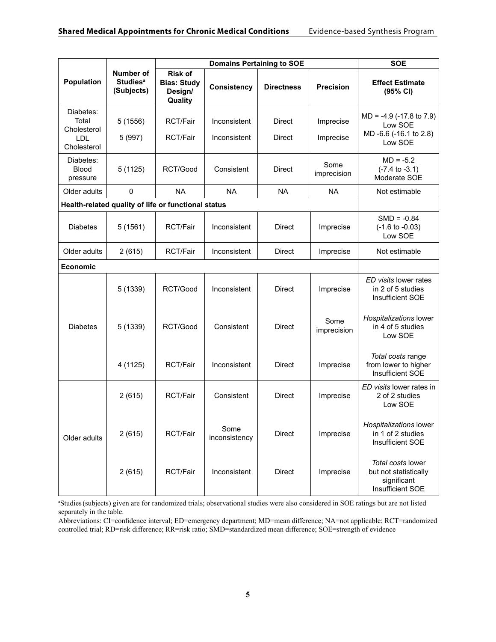|                                                                |                                                       | <b>Domains Pertaining to SOE</b>                           |                              |                         |                        | <b>SOE</b>                                                                    |
|----------------------------------------------------------------|-------------------------------------------------------|------------------------------------------------------------|------------------------------|-------------------------|------------------------|-------------------------------------------------------------------------------|
| Population                                                     | Number of<br><b>Studies<sup>a</sup></b><br>(Subjects) | <b>Risk of</b><br><b>Bias: Study</b><br>Design/<br>Quality | <b>Consistency</b>           | <b>Directness</b>       | <b>Precision</b>       | <b>Effect Estimate</b><br>(95% CI)                                            |
| Diabetes:<br>Total<br>Cholesterol<br><b>LDL</b><br>Cholesterol | 5 (1556)<br>5 (997)                                   | <b>RCT/Fair</b><br><b>RCT/Fair</b>                         | Inconsistent<br>Inconsistent | <b>Direct</b><br>Direct | Imprecise<br>Imprecise | $MD = -4.9$ (-17.8 to 7.9)<br>Low SOE<br>MD -6.6 (-16.1 to 2.8)<br>Low SOE    |
| Diabetes:<br><b>Blood</b><br>pressure                          | 5(1125)                                               | RCT/Good                                                   | Consistent                   | Direct                  | Some<br>imprecision    | $MD = -5.2$<br>$(-7.4 \text{ to } -3.1)$<br>Moderate SOE                      |
| Older adults                                                   | $\mathbf 0$                                           | <b>NA</b>                                                  | <b>NA</b>                    | <b>NA</b>               | <b>NA</b>              | Not estimable                                                                 |
|                                                                |                                                       | Health-related quality of life or functional status        |                              |                         |                        |                                                                               |
| <b>Diabetes</b>                                                | 5(1561)                                               | <b>RCT/Fair</b>                                            | Inconsistent                 | <b>Direct</b>           | Imprecise              | $SMD = -0.84$<br>$(-1.6$ to $-0.03)$<br>Low SOE                               |
| Older adults                                                   | 2(615)                                                | RCT/Fair                                                   | Inconsistent                 | <b>Direct</b>           | Imprecise              | Not estimable                                                                 |
| <b>Economic</b>                                                |                                                       |                                                            |                              |                         |                        |                                                                               |
| <b>Diabetes</b>                                                | 5 (1339)                                              | RCT/Good                                                   | Inconsistent                 | <b>Direct</b>           | Imprecise              | ED visits lower rates<br>in 2 of 5 studies<br>Insufficient SOE                |
|                                                                | 5 (1339)                                              | RCT/Good                                                   | Consistent                   | <b>Direct</b>           | Some<br>imprecision    | Hospitalizations lower<br>in 4 of 5 studies<br>Low SOE                        |
|                                                                | 4 (1125)                                              | RCT/Fair                                                   | Inconsistent                 | <b>Direct</b>           | Imprecise              | Total costs range<br>from lower to higher<br>Insufficient SOE                 |
| Older adults                                                   | 2(615)                                                | RCT/Fair                                                   | Consistent                   | <b>Direct</b>           | Imprecise              | ED visits lower rates in<br>2 of 2 studies<br>Low SOE                         |
|                                                                | 2(615)                                                | RCT/Fair                                                   | Some<br>inconsistency        | <b>Direct</b>           | Imprecise              | Hospitalizations lower<br>in 1 of 2 studies<br>Insufficient SOE               |
|                                                                | 2(615)                                                | <b>RCT/Fair</b>                                            | Inconsistent                 | <b>Direct</b>           | Imprecise              | Total costs lower<br>but not statistically<br>significant<br>Insufficient SOE |

a Studies(subjects) given are for randomized trials; observational studies were also considered in SOE ratings but are not listed separately in the table.

Abbreviations: CI=confidence interval; ED=emergency department; MD=mean difference; NA=not applicable; RCT=randomized controlled trial; RD=risk difference; RR=risk ratio; SMD=standardized mean difference; SOE=strength of evidence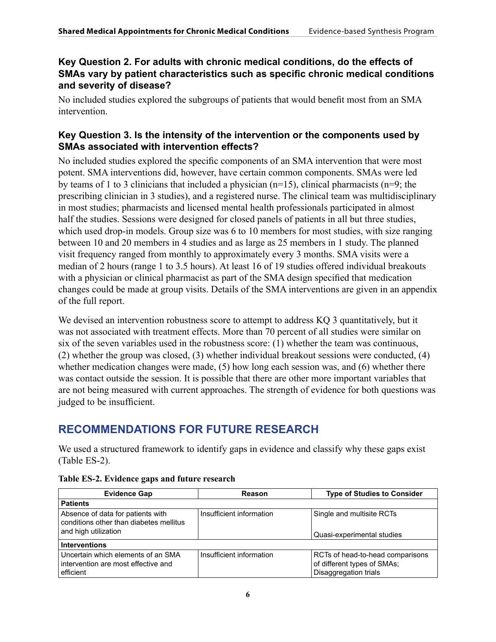#### **Key Question 2. For adults with chronic medical conditions, do the effects of SMAs vary by patient characteristics such as specific chronic medical conditions and severity of disease?**

No included studies explored the subgroups of patients that would benefit most from an SMA intervention.

#### **Key Question 3. Is the intensity of the intervention or the components used by SMAs associated with intervention effects?**

No included studies explored the specific components of an SMA intervention that were most potent. SMA interventions did, however, have certain common components. SMAs were led by teams of 1 to 3 clinicians that included a physician  $(n=15)$ , clinical pharmacists  $(n=9;$  the prescribing clinician in 3 studies), and a registered nurse. The clinical team was multidisciplinary in most studies; pharmacists and licensed mental health professionals participated in almost half the studies. Sessions were designed for closed panels of patients in all but three studies, which used drop-in models. Group size was 6 to 10 members for most studies, with size ranging between 10 and 20 members in 4 studies and as large as 25 members in 1 study. The planned visit frequency ranged from monthly to approximately every 3 months. SMA visits were a median of 2 hours (range 1 to 3.5 hours). At least 16 of 19 studies offered individual breakouts with a physician or clinical pharmacist as part of the SMA design specified that medication changes could be made at group visits. Details of the SMA interventions are given in an appendix of the full report.

We devised an intervention robustness score to attempt to address KQ 3 quantitatively, but it was not associated with treatment effects. More than 70 percent of all studies were similar on six of the seven variables used in the robustness score: (1) whether the team was continuous, (2) whether the group was closed, (3) whether individual breakout sessions were conducted, (4) whether medication changes were made, (5) how long each session was, and (6) whether there was contact outside the session. It is possible that there are other more important variables that are not being measured with current approaches. The strength of evidence for both questions was judged to be insufficient.

## **RECOMMENDATIONS FOR FUTURE RESEARCH**

We used a structured framework to identify gaps in evidence and classify why these gaps exist (Table ES-2).

| <b>Evidence Gap</b>                                                                                  | Reason                   | <b>Type of Studies to Consider</b>                                                       |
|------------------------------------------------------------------------------------------------------|--------------------------|------------------------------------------------------------------------------------------|
| <b>Patients</b>                                                                                      |                          |                                                                                          |
| Absence of data for patients with<br>conditions other than diabetes mellitus<br>and high utilization | Insufficient information | Single and multisite RCTs<br>Quasi-experimental studies                                  |
| Interventions                                                                                        |                          |                                                                                          |
| l Uncertain which elements of an SMA<br>Intervention are most effective and<br>l efficient           | Insufficient information | RCTs of head-to-head comparisons<br>of different types of SMAs;<br>Disaggregation trials |

#### **Table ES-2. Evidence gaps and future research**